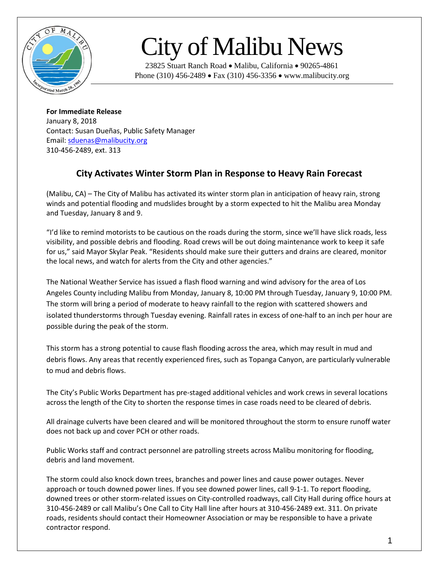

## City of Malibu News

23825 Stuart Ranch Road • Malibu, California • 90265-4861 Phone (310) 456-2489 • Fax (310) 456-3356 • www.malibucity.org

**For Immediate Release** January 8, 2018 Contact: Susan Dueñas, Public Safety Manager Email[: sduenas@malibucity.org](mailto:sduenas@malibucity.org) 310-456-2489, ext. 313

## **City Activates Winter Storm Plan in Response to Heavy Rain Forecast**

(Malibu, CA) – The City of Malibu has activated its winter storm plan in anticipation of heavy rain, strong winds and potential flooding and mudslides brought by a storm expected to hit the Malibu area Monday and Tuesday, January 8 and 9.

"I'd like to remind motorists to be cautious on the roads during the storm, since we'll have slick roads, less visibility, and possible debris and flooding. Road crews will be out doing maintenance work to keep it safe for us," said Mayor Skylar Peak. "Residents should make sure their gutters and drains are cleared, monitor the local news, and watch for alerts from the City and other agencies."

The National Weather Service has issued a flash flood warning and wind advisory for the area of Los Angeles County including Malibu from Monday, January 8, 10:00 PM through Tuesday, January 9, 10:00 PM. The storm will bring a period of moderate to heavy rainfall to the region with scattered showers and isolated thunderstorms through Tuesday evening. Rainfall rates in excess of one-half to an inch per hour are possible during the peak of the storm.

This storm has a strong potential to cause flash flooding across the area, which may result in mud and debris flows. Any areas that recently experienced fires, such as Topanga Canyon, are particularly vulnerable to mud and debris flows.

The City's Public Works Department has pre-staged additional vehicles and work crews in several locations across the length of the City to shorten the response times in case roads need to be cleared of debris.

All drainage culverts have been cleared and will be monitored throughout the storm to ensure runoff water does not back up and cover PCH or other roads.

Public Works staff and contract personnel are patrolling streets across Malibu monitoring for flooding, debris and land movement.

The storm could also knock down trees, branches and power lines and cause power outages. Never approach or touch downed power lines. If you see downed power lines, call 9-1-1. To report flooding, downed trees or other storm-related issues on City-controlled roadways, call City Hall during office hours at 310-456-2489 or call Malibu's One Call to City Hall line after hours at 310-456-2489 ext. 311. On private roads, residents should contact their Homeowner Association or may be responsible to have a private contractor respond.